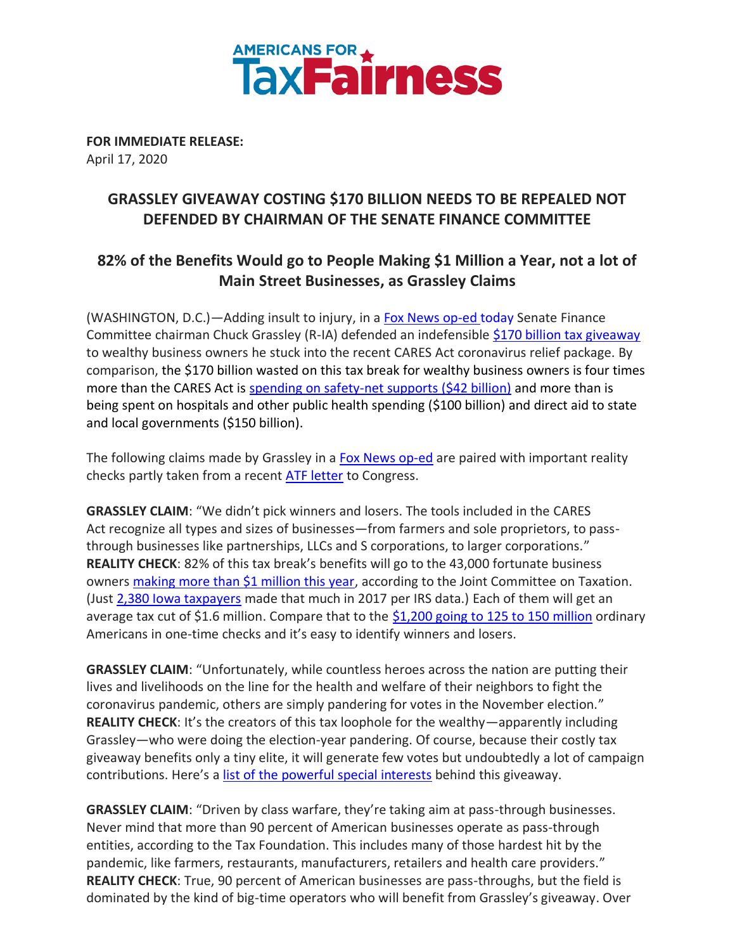

**FOR IMMEDIATE RELEASE:** April 17, 2020

## **GRASSLEY GIVEAWAY COSTING \$170 BILLION NEEDS TO BE REPEALED NOT DEFENDED BY CHAIRMAN OF THE SENATE FINANCE COMMITTEE**

## **82% of the Benefits Would go to People Making \$1 Million a Year, not a lot of Main Street Businesses, as Grassley Claims**

(WASHINGTON, D.C.)—Adding insult to injury, in [a Fox News op-ed](https://www.foxnews.com/opinion/sen-chuck-grassley-coronavirus-damaged-businesses-providing-more-than-half-of-us-jobs-deserve-tax-relief) today Senate Finance Committee chairman Chuck Grassley (R-IA) defended an indefensibl[e \\$170 billion tax giveaway](https://www.nytimes.com/2020/03/26/business/coronavirus-real-estate-investors-stimulus.html) to wealthy business owners he stuck into the recent CARES Act coronavirus relief package. By comparison, the \$170 billion wasted on this tax break for wealthy business owners is four times more than the CARES Act is [spending on safety-net supports](http://www.crfb.org/blogs/whats-2-trillion-coronavirus-relief-package) (\$42 billion) and more than is being spent on hospitals and other public health spending (\$100 billion) and direct aid to state and local governments (\$150 billion).

The following claims made by Grassley in [a Fox News op-ed](https://www.foxnews.com/opinion/sen-chuck-grassley-coronavirus-damaged-businesses-providing-more-than-half-of-us-jobs-deserve-tax-relief) are paired with important reality checks partly taken from a recent [ATF letter](https://americansfortaxfairness.org/wp-content/uploads/ATF-Letter-Opposing-NOLs-Provision-FINAL-4-9-20.pdf) to Congress.

**GRASSLEY CLAIM**: "We didn't pick winners and losers. The tools included in the CARES Act recognize all types and sizes of businesses—from farmers and sole proprietors, to passthrough businesses like partnerships, LLCs and S corporations, to larger corporations." **REALITY CHECK**: 82% of this tax break's benefits will go to the 43,000 fortunate business owners [making more than \\$1 million this year,](https://www.whitehouse.senate.gov/imo/media/doc/116-0849.pdf) according to the Joint Committee on Taxation. (Just [2,380 Iowa taxpayers](https://www.irs.gov/statistics/soi-tax-stats-historic-table-2) made that much in 2017 per IRS data.) Each of them will get an average tax cut of \$1.6 million. Compare that to the [\\$1,200 going to 125 to 150 million](https://www.washingtonpost.com/business/2020/04/14/1200-relief-checks-have-begun-arriving-bank-accounts-people-are-mostly-spending-it-food/) ordinary Americans in one-time checks and it's easy to identify winners and losers.

**GRASSLEY CLAIM**: "Unfortunately, while countless heroes across the nation are putting their lives and livelihoods on the line for the health and welfare of their neighbors to fight the coronavirus pandemic, others are simply pandering for votes in the November election." **REALITY CHECK**: It's the creators of this tax loophole for the wealthy—apparently including Grassley—who were doing the election-year pandering. Of course, because their costly tax giveaway benefits only a tiny elite, it will generate few votes but undoubtedly a lot of campaign contributions. Here's a [list of the powerful special interests](https://s-corp.org/wp-content/uploads/2020/03/Main-Street-Reponse-to-COVID-19-3-22.pdf) behind this giveaway.

**GRASSLEY CLAIM**: "Driven by class warfare, they're taking aim at pass-through businesses. Never mind that more than 90 percent of American businesses operate as pass-through entities, according to the Tax Foundation. This includes many of those hardest hit by the pandemic, like farmers, restaurants, manufacturers, retailers and health care providers." **REALITY CHECK**: True, 90 percent of American businesses are pass-throughs, but the field is dominated by the kind of big-time operators who will benefit from Grassley's giveaway. Over